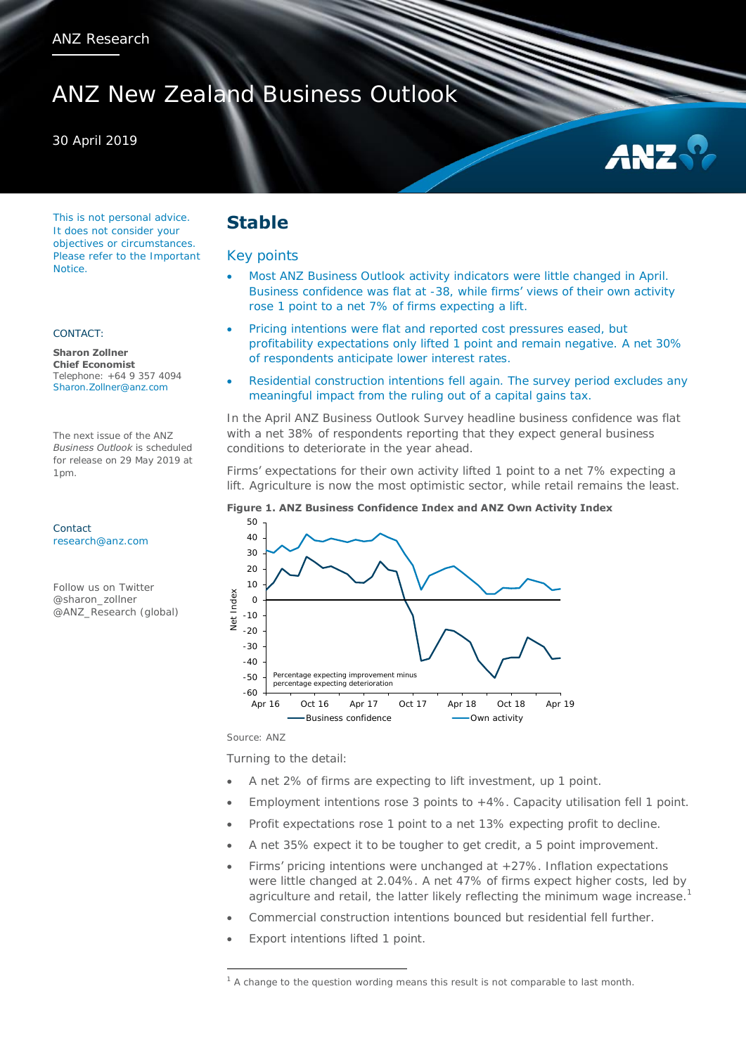# ANZ New Zealand Business Outlook

### 30 April 2019



This is not personal advice. It does not consider your objectives or circumstances. Please refer to the Important Notice.

#### CONTACT:

**Sharon Zollner Chief Economist**  Telephone: +64 9 357 4094 Sharon.Zollner@anz.com

The next issue of the ANZ *Business Outlook* is scheduled for release on 29 May 2019 at 1pm.

Contact [research@anz.com](mailto:research@anz.com)

Follow us on Twitter @sharon\_zollner @ANZ\_Research (global)

## **Stable**

### Key points

- Most ANZ Business Outlook activity indicators were little changed in April. Business confidence was flat at -38, while firms' views of their own activity rose 1 point to a net 7% of firms expecting a lift.
- Pricing intentions were flat and reported cost pressures eased, but profitability expectations only lifted 1 point and remain negative. A net 30% of respondents anticipate lower interest rates.
- Residential construction intentions fell again. The survey period excludes any meaningful impact from the ruling out of a capital gains tax.

In the April ANZ Business Outlook Survey headline business confidence was flat with a net 38% of respondents reporting that they expect general business conditions to deteriorate in the year ahead.

Firms' expectations for their own activity lifted 1 point to a net 7% expecting a lift. Agriculture is now the most optimistic sector, while retail remains the least.

#### **Figure 1. ANZ Business Confidence Index and ANZ Own Activity Index**



Source: ANZ

 $\overline{a}$ 

Turning to the detail:

- A net 2% of firms are expecting to lift investment, up 1 point.
- Employment intentions rose 3 points to +4%. Capacity utilisation fell 1 point.
- Profit expectations rose 1 point to a net 13% expecting profit to decline.
- A net 35% expect it to be tougher to get credit, a 5 point improvement.
- Firms' pricing intentions were unchanged at +27%. Inflation expectations were little changed at 2.04%. A net 47% of firms expect higher costs, led by agriculture and retail, the latter likely reflecting the minimum wage increase.<sup>1</sup>
- Commercial construction intentions bounced but residential fell further.
- Export intentions lifted 1 point.

<sup>&</sup>lt;sup>1</sup> A change to the question wording means this result is not comparable to last month.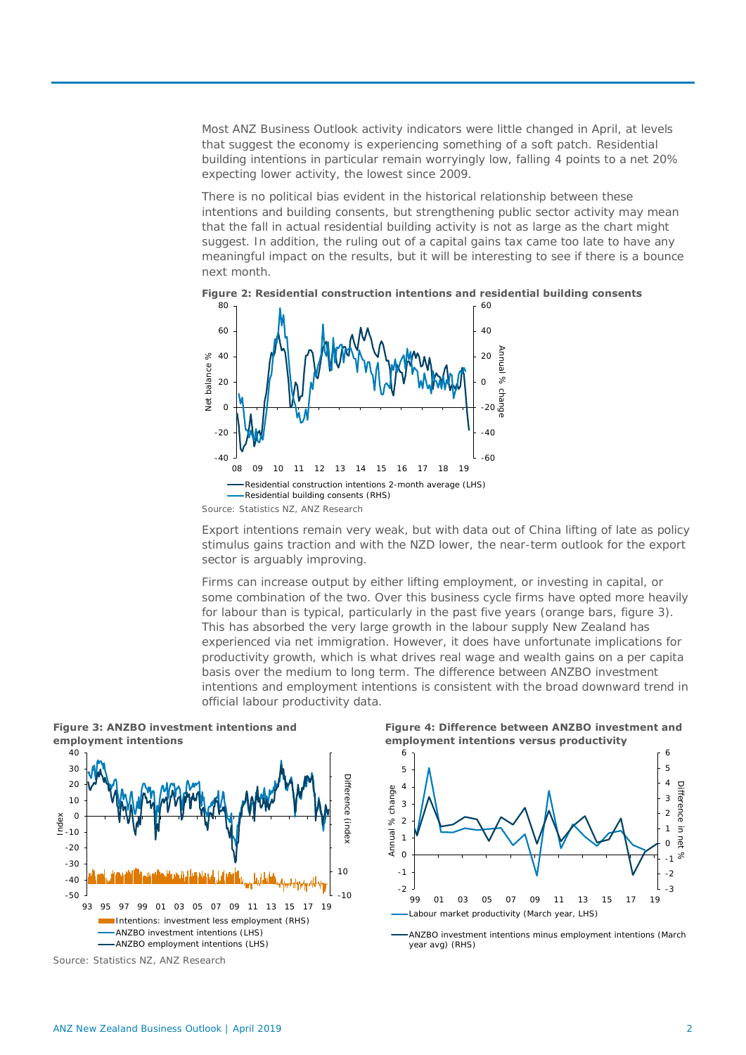Most ANZ Business Outlook activity indicators were little changed in April, at levels that suggest the economy is experiencing something of a soft patch. Residential building intentions in particular remain worryingly low, falling 4 points to a net 20% expecting lower activity, the lowest since 2009.

There is no political bias evident in the historical relationship between these intentions and building consents, but strengthening public sector activity may mean that the fall in actual residential building activity is not as large as the chart might suggest. In addition, the ruling out of a capital gains tax came too late to have any meaningful impact on the results, but it will be interesting to see if there is a bounce next month.





Export intentions remain very weak, but with data out of China lifting of late as policy stimulus gains traction and with the NZD lower, the near-term outlook for the export sector is arguably improving.

Firms can increase output by either lifting employment, or investing in capital, or some combination of the two. Over this business cycle firms have opted more heavily for labour than is typical, particularly in the past five years (orange bars, figure 3). This has absorbed the very large growth in the labour supply New Zealand has experienced via net immigration. However, it does have unfortunate implications for productivity growth, which is what drives real wage and wealth gains on a per capita basis over the medium to long term. The difference between ANZBO investment intentions and employment intentions is consistent with the broad downward trend in official labour productivity data.



**Figure 3: ANZBO investment intentions and** 

Source: Statistics NZ, ANZ Research

**Figure 4: Difference between ANZBO investment and employment intentions versus productivity**



ANZBO investment intentions minus employment intentions (March year avg) (RHS)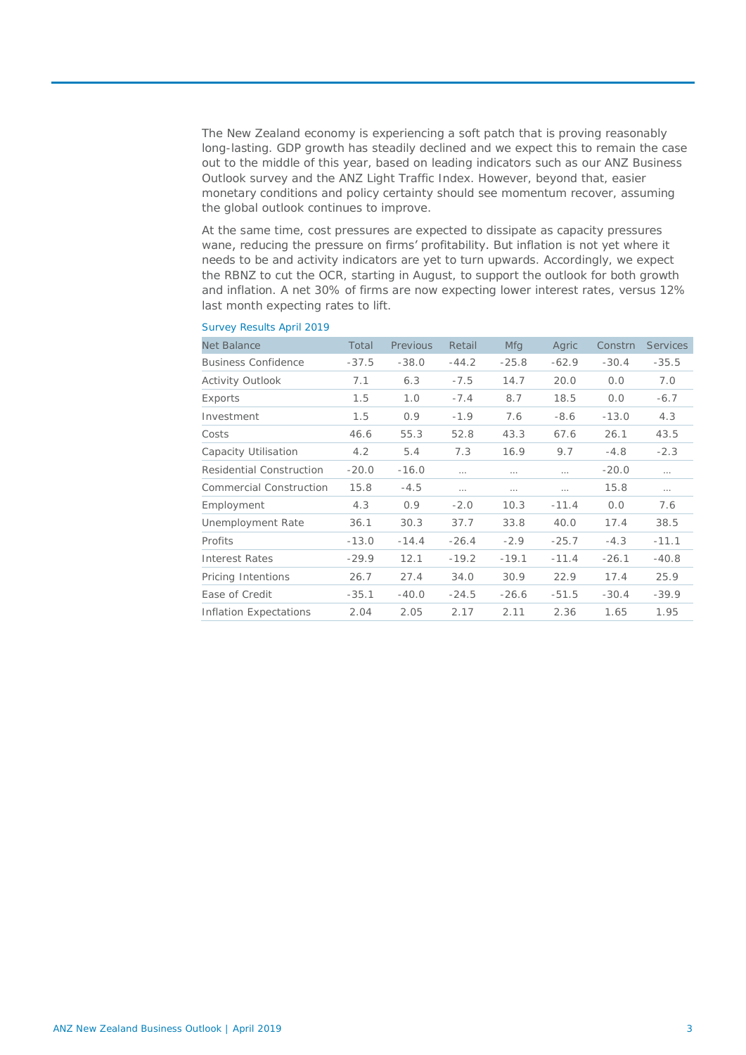The New Zealand economy is experiencing a soft patch that is proving reasonably long-lasting. GDP growth has steadily declined and we expect this to remain the case out to the middle of this year, based on leading indicators such as our ANZ Business Outlook survey and the ANZ Light Traffic Index. However, beyond that, easier monetary conditions and policy certainty should see momentum recover, assuming the global outlook continues to improve.

At the same time, cost pressures are expected to dissipate as capacity pressures wane, reducing the pressure on firms' profitability. But inflation is not yet where it needs to be and activity indicators are yet to turn upwards. Accordingly, we expect the RBNZ to cut the OCR, starting in August, to support the outlook for both growth and inflation. A net 30% of firms are now expecting lower interest rates, versus 12% last month expecting rates to lift.

| Net Balance                | Total   | Previous | Retail   | <b>Mfg</b> | Agric    | Constrn | <b>Services</b> |
|----------------------------|---------|----------|----------|------------|----------|---------|-----------------|
| <b>Business Confidence</b> | $-37.5$ | $-38.0$  | $-44.2$  | $-25.8$    | $-62.9$  | $-30.4$ | $-35.5$         |
| Activity Outlook           | 7.1     | 6.3      | $-7.5$   | 14.7       | 20.0     | 0.0     | 7.0             |
| Exports                    | 1.5     | 1.0      | $-7.4$   | 8.7        | 18.5     | 0.0     | $-6.7$          |
| Investment                 | 1.5     | 0.9      | $-1.9$   | 7.6        | $-8.6$   | $-13.0$ | 4.3             |
| Costs                      | 46.6    | 55.3     | 52.8     | 43.3       | 67.6     | 26.1    | 43.5            |
| Capacity Utilisation       | 4.2     | 5.4      | 7.3      | 16.9       | 9.7      | $-4.8$  | $-2.3$          |
| Residential Construction   | $-20.0$ | $-16.0$  | $\cdots$ | $\cdots$   |          | $-20.0$ | $\cdots$        |
| Commercial Construction    | 15.8    | $-4.5$   | $\cdots$ | $\cdots$   | $\cdots$ | 15.8    | $\cdots$        |
| Employment                 | 4.3     | 0.9      | $-2.0$   | 10.3       | $-11.4$  | 0.0     | 7.6             |
| Unemployment Rate          | 36.1    | 30.3     | 37.7     | 33.8       | 40.0     | 17.4    | 38.5            |
| Profits                    | $-13.0$ | $-14.4$  | $-26.4$  | $-2.9$     | $-25.7$  | $-4.3$  | $-11.1$         |
| Interest Rates             | $-29.9$ | 12.1     | $-19.2$  | $-19.1$    | $-11.4$  | $-26.1$ | $-40.8$         |
| Pricing Intentions         | 26.7    | 27.4     | 34.0     | 30.9       | 22.9     | 17.4    | 25.9            |
| Ease of Credit             | $-35.1$ | $-40.0$  | $-24.5$  | $-26.6$    | $-51.5$  | $-30.4$ | $-39.9$         |
| Inflation Expectations     | 2.04    | 2.05     | 2.17     | 2.11       | 2.36     | 1.65    | 1.95            |

### Survey Results April 2019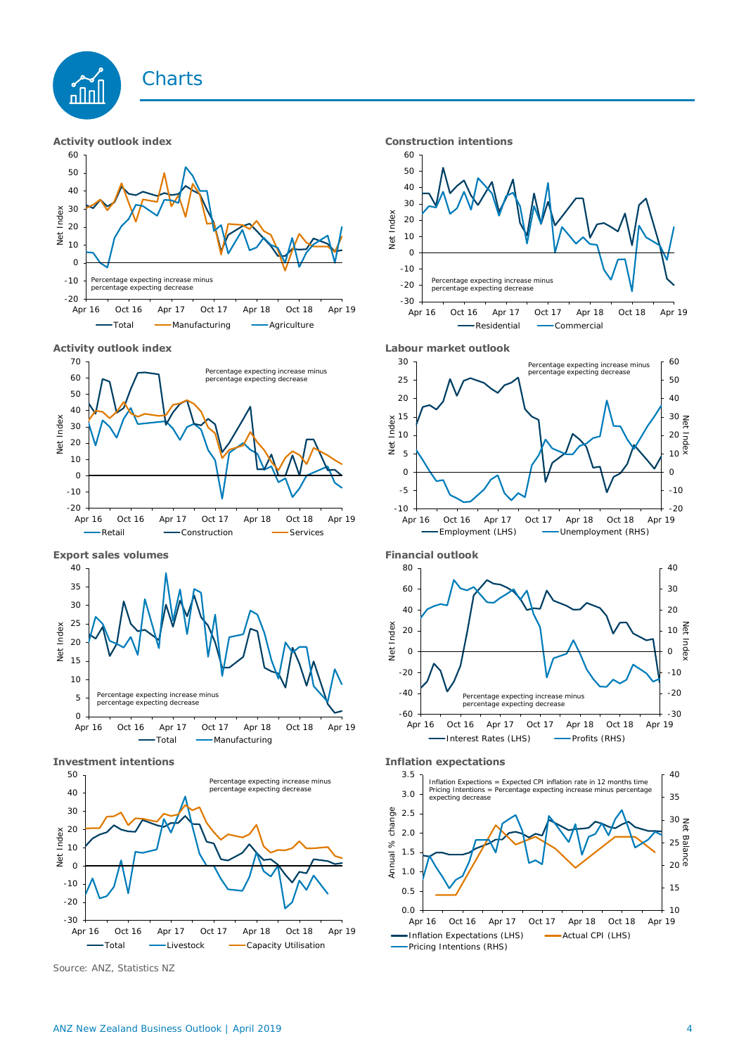## **Charts**



**Activity outlook index Labour market outlook**









Source: ANZ, Statistics NZ

**Activity outlook index CONSIDER 10 TENS CONSTRUCTED INTENSION CONSTRUCTED ATTACKS** 









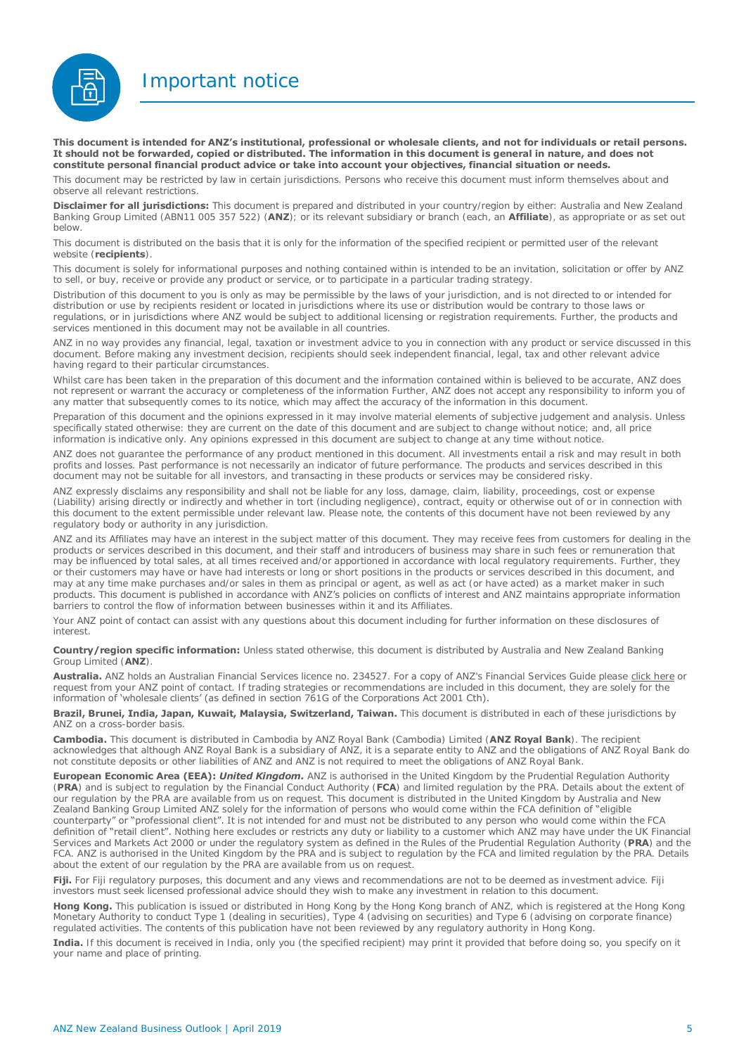Important notice



**This document is intended for ANZ's institutional, professional or wholesale clients, and not for individuals or retail persons. It should not be forwarded, copied or distributed. The information in this document is general in nature, and does not constitute personal financial product advice or take into account your objectives, financial situation or needs.** 

This document may be restricted by law in certain jurisdictions. Persons who receive this document must inform themselves about and observe all relevant restrictions.

**Disclaimer for all jurisdictions:** This document is prepared and distributed in your country/region by either: Australia and New Zealand Banking Group Limited (ABN11 005 357 522) (**ANZ**); or its relevant subsidiary or branch (each, an **Affiliate**), as appropriate or as set out below.

This document is distributed on the basis that it is only for the information of the specified recipient or permitted user of the relevant website (**recipients**).

This document is solely for informational purposes and nothing contained within is intended to be an invitation, solicitation or offer by ANZ to sell, or buy, receive or provide any product or service, or to participate in a particular trading strategy.

Distribution of this document to you is only as may be permissible by the laws of your jurisdiction, and is not directed to or intended for distribution or use by recipients resident or located in jurisdictions where its use or distribution would be contrary to those laws or regulations, or in jurisdictions where ANZ would be subject to additional licensing or registration requirements. Further, the products and services mentioned in this document may not be available in all countries.

ANZ in no way provides any financial, legal, taxation or investment advice to you in connection with any product or service discussed in this document. Before making any investment decision, recipients should seek independent financial, legal, tax and other relevant advice having regard to their particular circumstances.

Whilst care has been taken in the preparation of this document and the information contained within is believed to be accurate. ANZ does not represent or warrant the accuracy or completeness of the information Further, ANZ does not accept any responsibility to inform you of any matter that subsequently comes to its notice, which may affect the accuracy of the information in this document.

Preparation of this document and the opinions expressed in it may involve material elements of subjective judgement and analysis. Unless specifically stated otherwise: they are current on the date of this document and are subject to change without notice; and, all price information is indicative only. Any opinions expressed in this document are subject to change at any time without notice.

ANZ does not guarantee the performance of any product mentioned in this document. All investments entail a risk and may result in both profits and losses. Past performance is not necessarily an indicator of future performance. The products and services described in this document may not be suitable for all investors, and transacting in these products or services may be considered risky.

ANZ expressly disclaims any responsibility and shall not be liable for any loss, damage, claim, liability, proceedings, cost or expense (Liability) arising directly or indirectly and whether in tort (including negligence), contract, equity or otherwise out of or in connection with this document to the extent permissible under relevant law. Please note, the contents of this document have not been reviewed by any regulatory body or authority in any jurisdiction.

ANZ and its Affiliates may have an interest in the subject matter of this document. They may receive fees from customers for dealing in the products or services described in this document, and their staff and introducers of business may share in such fees or remuneration that may be influenced by total sales, at all times received and/or apportioned in accordance with local regulatory requirements. Further, they or their customers may have or have had interests or long or short positions in the products or services described in this document, and may at any time make purchases and/or sales in them as principal or agent, as well as act (or have acted) as a market maker in such products. This document is published in accordance with ANZ's policies on conflicts of interest and ANZ maintains appropriate information barriers to control the flow of information between businesses within it and its Affiliates.

Your ANZ point of contact can assist with any questions about this document including for further information on these disclosures of interest.

**Country/region specific information:** Unless stated otherwise, this document is distributed by Australia and New Zealand Banking Group Limited (**ANZ**).

**Australia.** ANZ holds an Australian Financial Services licence no. 234527. For a copy of ANZ's Financial Services Guide please [click here o](http://www.anz.com/documents/AU/aboutANZ/FinancialServicesGuide.pdf)r request from your ANZ point of contact. If trading strategies or recommendations are included in this document, they are solely for the information of 'wholesale clients' (as defined in section 761G of the Corporations Act 2001 Cth).

**Brazil, Brunei, India, Japan, Kuwait, Malaysia, Switzerland, Taiwan.** This document is distributed in each of these jurisdictions by ANZ on a cross-border basis.

**Cambodia.** This document is distributed in Cambodia by ANZ Royal Bank (Cambodia) Limited (**ANZ Royal Bank**). The recipient acknowledges that although ANZ Royal Bank is a subsidiary of ANZ, it is a separate entity to ANZ and the obligations of ANZ Royal Bank do not constitute deposits or other liabilities of ANZ and ANZ is not required to meet the obligations of ANZ Royal Bank.

**European Economic Area (EEA):** *United Kingdom.* ANZ is authorised in the United Kingdom by the Prudential Regulation Authority (**PRA**) and is subject to regulation by the Financial Conduct Authority (**FCA**) and limited regulation by the PRA. Details about the extent of our regulation by the PRA are available from us on request. This document is distributed in the United Kingdom by Australia and New Zealand Banking Group Limited ANZ solely for the information of persons who would come within the FCA defi**nition of "eligible** counterparty" or "professional client". It is not intended for and must not be distributed to any person who would come within the FCA definition of "retail client". Nothing here excludes or restricts any duty or liability to a customer which ANZ may have under the UK Financial Services and Markets Act 2000 or under the regulatory system as defined in the Rules of the Prudential Regulation Authority (**PRA**) and the FCA. ANZ is authorised in the United Kingdom by the PRA and is subject to regulation by the FCA and limited regulation by the PRA. Details about the extent of our regulation by the PRA are available from us on request

**Fiji.** For Fiji regulatory purposes, this document and any views and recommendations are not to be deemed as investment advice. Fiji investors must seek licensed professional advice should they wish to make any investment in relation to this document.

**Hong Kong.** This publication is issued or distributed in Hong Kong by the Hong Kong branch of ANZ, which is registered at the Hong Kong Monetary Authority to conduct Type 1 (dealing in securities), Type 4 (advising on securities) and Type 6 (advising on corporate finance) regulated activities. The contents of this publication have not been reviewed by any regulatory authority in Hong Kong.

**India.** If this document is received in India, only you (the specified recipient) may print it provided that before doing so, you specify on it your name and place of printing.